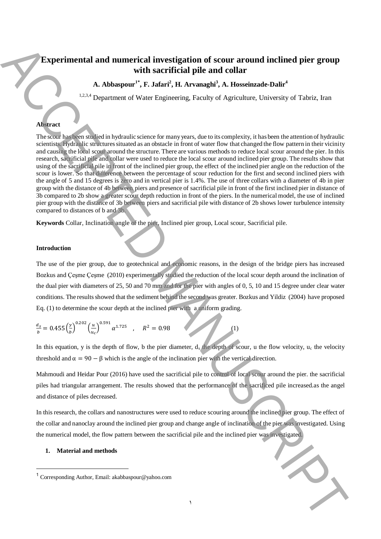# **Experimental and numerical investigation of scour around inclined pier group with sacrificial pile and collar**

**A. Abbaspour1\* , F. Jafari<sup>2</sup> , H. Arvanaghi<sup>3</sup> , A. Hosseinzade-Dalir<sup>4</sup>**

1,2,3,4 Department of Water Engineering, Faculty of Agriculture, University of Tabriz, Iran

## **Abstract**

The scour has been studied in hydraulic science for many years, due to its complexity, it has been the attention of hydraulic scientists. Hydraulic structures situated as an obstacle in front of water flow that changed the flow pattern in their vicinity and causing the local scour around the structure. There are various methods to reduce local scour around the pier. In this research, sacrificial pile and collar were used to reduce the local scour around inclined pier group. The results show that using of the sacrificial pile in front of the inclined pier group, the effect of the inclined pier angle on the reduction of the scour is lower. So that difference between the percentage of scour reduction for the first and second inclined piers with the angle of 5 and 15 degrees is zero and in vertical pier is 1.4%. The use of three collars with a diameter of 4b in pier group with the distance of 4b between piers and presence of sacrificial pile in front of the first inclined pier in distance of 3b compared to 2b show a greater scour depth reduction in front of the piers. In the numerical model, the use of inclined pier group with the distance of 3b between piers and sacrificial pile with distance of 2b shows lower turbulence intensity compared to distances of b and 3b. **Experimental and numerical investigation of secure around inclined pier group<br>
1.4. A bisepartic Security F. F. Administration Corresponding C. Chromaton China Corresponding Author, Email: A corresponding C. Chromaton Ch** 

**Keywords** Collar, Inclination angle of the pier, Inclined pier group, Local scour, Sacrificial pile.

## **Introduction**

The use of the pier group, due to geotechnical and economic reasons, in the design of the bridge piers has increased Bozkus and Çeşme Çeşme (2010) experimentally studied the reduction of the local scour depth around the inclination of the dual pier with diameters of 25, 50 and 70 mm and for the pier with angles of 0, 5, 10 and 15 degree under clear water conditions. The results showed that the sediment behind the second was greater. Bozkus and Yildiz (2004) have proposed Eq. (1) to determine the scour depth at the inclined pier with a uniform grading.

$$
\frac{d_s}{b} = 0.455 \left(\frac{y}{b}\right)^{0.202} \left(\frac{u}{u_c}\right)^{0.591} \alpha^{1.725} \quad , \quad R^2 = 0.98 \tag{1}
$$

In this equation, y is the depth of flow, b the pier diameter,  $d_s$  the depth of scour, u the flow velocity,  $u_c$  the velocity threshold and  $\alpha = 90 - \beta$  which is the angle of the inclination pier with the vertical direction.

Mahmoudi and Heidar Pour (2016) have used the sacrificial pile to control of local scour around the pier. the sacrificial piles had triangular arrangement. The results showed that the performance of the sacrificed pile increased.as the angel and distance of piles decreased.

In this research, the collars and nanostructures were used to reduce scouring around the inclined pier group. The effect of the collar and nanoclay around the inclined pier group and change angle of inclination of the pier was investigated. Using the numerical model, the flow pattern between the sacrificial pile and the inclined pier was investigated.

1

## **1. Material and methods**

1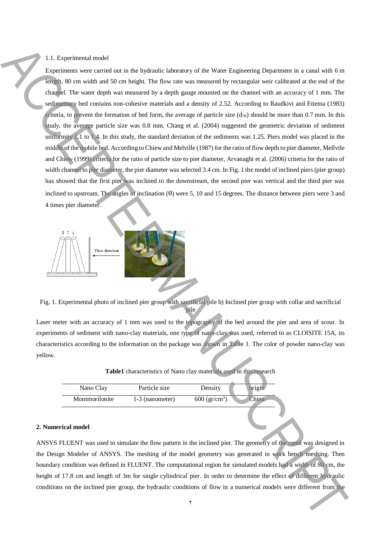#### 1.1. Experimental model

Experiments were carried out in the hydraulic laboratory of the Water Engineering Department in a canal with 6 m length, 80 cm width and 50 cm height. The flow rate was measured by rectangular weir calibrated at the end of the channel. The water depth was measured by a depth gauge mounted on the channel with an accuracy of 1 mm. The sedimentary bed contains non-cohesive materials and a density of 2.52. According to Raudkivi and Ettema (1983) criteria, to prevent the formation of bed form, the average of particle size  $(d_{50})$  should be more than 0.7 mm. In this study, the average particle size was 0.8 mm. Chang et al. (2004) suggested the geometric deviation of sediment uniformity 1.1 to 1.4. In this study, the standard deviation of the sediments was 1.25. Piers model was placed in the middle of the mobile bed. According to Chiew and Melville (1987) for the ratio of flow depth to pier diameter, Mellvile and Chiew (1999) criteria for the ratio of particle size to pier diameter, Arvanaghi et al. (2006) criteria for the ratio of width channel to pier diameter, the pier diameter was selected 3.4 cm. In Fig. 1 the model of inclined piers (pier group) has showed that the first pier was inclined to the downstream, the second pier was vertical and the third pier was inclined to upstream. The angles of inclination  $(\theta)$  were 5, 10 and 15 degrees. The distance between piers were 3 and 4 times pier diameter. Let the incline the included pier group of the Wales Engineering Depends on the included the included proportions of  $\alpha$  for the included pier group of  $\alpha$  for  $\alpha$  of  $\alpha$  for  $\alpha$  of  $\alpha$  of  $\alpha$  of  $\alpha$  of  $\alpha$  of  $\$ 



Fig. 1. Experimental photo of inclined pier group with sacrificial pile b) Inclined pier group with collar and sacrificial pile

Laser meter with an accuracy of 1 mm was used to the topography of the bed around the pier and area of scour. In experiments of sediment with nano-clay materials, one type of nano-clay was used, referred to as CLOISITE 15A, its characteristics according to the information on the package was shown in Table 1. The color of powder nano-clay was yellow.

| Table1 characteristics of Nano clay materials used in this research |  |  |  |
|---------------------------------------------------------------------|--|--|--|
|---------------------------------------------------------------------|--|--|--|

| Nano Clay      | Particle size   | Density                   | origin |
|----------------|-----------------|---------------------------|--------|
| Montmorilonite | 1-3 (nanometer) | 600 (gr/cm <sup>3</sup> ) | China  |

#### **2. Numerical model**

ANSYS FLUENT was used to simulate the flow pattern in the inclined pier. The geometry of the canal was designed in the Design Modeler of ANSYS. The meshing of the model geometry was generated in work bench meshing. Then boundary condition was defined in FLUENT. The computational region for simulated models had a width of 80 cm, the height of 17.8 cm and length of 3m for single cylindrical pier. In order to determine the effect of different hydraulic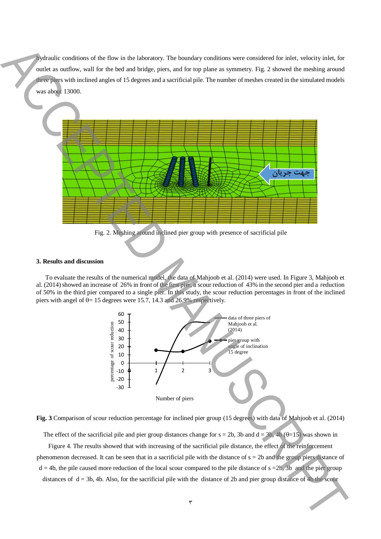hydraulic conditions of the flow in the laboratory. The boundary conditions were considered for inlet, velocity inlet, for outlet as outflow, wall for the bed and bridge, piers, and for top plane as symmetry. Fig. 2 showed the meshing around three piers with inclined angles of 15 degrees and a sacrificial pile. The number of meshes created in the simulated models was about 13000.



Fig. 2. Meshing around inclined pier group with presence of sacrificial pile

#### **3. Results and discussion**

To evaluate the results of the numerical model, the data of Mahjoob et al. (2014) were used. In Figure 3, Mahjoob et al. (2014) showed an increase of 26% in front of the first pier, a scour reduction of 43% in the second pier and a reduction of 50% in the third pier compared to a single pier. In this study, the scour reduction percentages in front of the inclined piers with angel of  $\theta$  = 15 degrees were 15.7, 14.3 and 26.9% respectively.



**Fig. 3** Comparison of scour reduction percentage for inclined pier group (15 degrees) with data of Mahjoob et al. (2014)

The effect of the sacrificial pile and pier group distances change for  $s = 2b$ , 3b and  $d = 3b$ , 4b ( $\theta = 15$ ) was shown in

Figure 4. The results showed that with increasing of the sacrificial pile distance, the effect of the reinforcement phenomenon decreased. It can be seen that in a sacrificial pile with the distance of  $s = 2b$  and the group piers distance of  $d = 4b$ , the pile caused more reduction of the local scour compared to the pile distance of  $s = 2b$ , 3b and the pier group distances of  $d = 3b$ , 4b. Also, for the sacrificial pile with the distance of 2b and pier group distance of 4b the scour